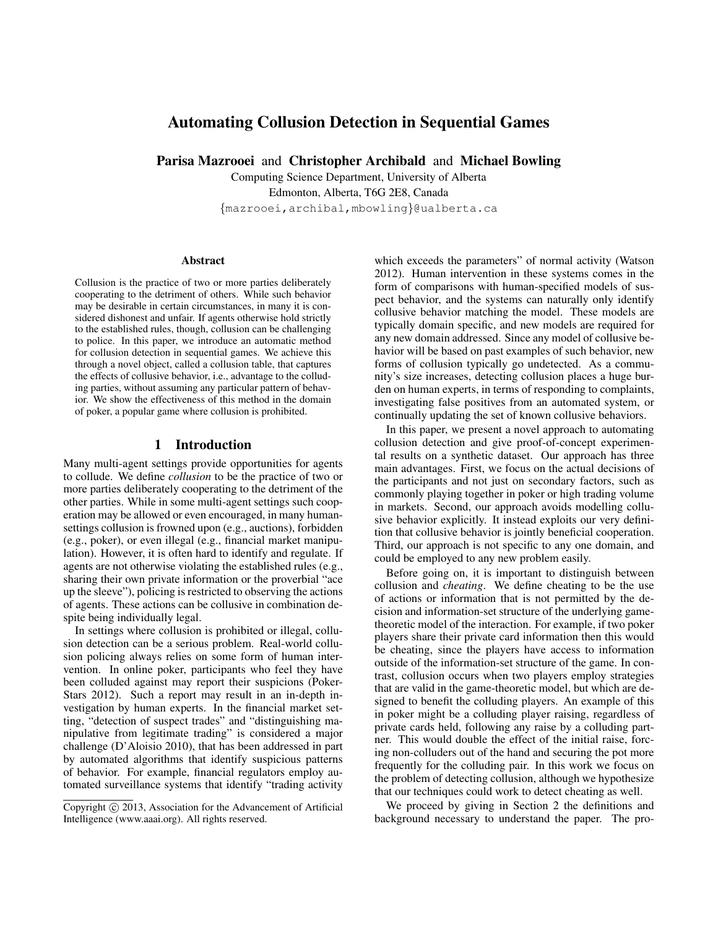# Automating Collusion Detection in Sequential Games

Parisa Mazrooei and Christopher Archibald and Michael Bowling

Computing Science Department, University of Alberta Edmonton, Alberta, T6G 2E8, Canada {mazrooei,archibal,mbowling}@ualberta.ca

#### Abstract

Collusion is the practice of two or more parties deliberately cooperating to the detriment of others. While such behavior may be desirable in certain circumstances, in many it is considered dishonest and unfair. If agents otherwise hold strictly to the established rules, though, collusion can be challenging to police. In this paper, we introduce an automatic method for collusion detection in sequential games. We achieve this through a novel object, called a collusion table, that captures the effects of collusive behavior, i.e., advantage to the colluding parties, without assuming any particular pattern of behavior. We show the effectiveness of this method in the domain of poker, a popular game where collusion is prohibited.

### 1 Introduction

Many multi-agent settings provide opportunities for agents to collude. We define *collusion* to be the practice of two or more parties deliberately cooperating to the detriment of the other parties. While in some multi-agent settings such cooperation may be allowed or even encouraged, in many humansettings collusion is frowned upon (e.g., auctions), forbidden (e.g., poker), or even illegal (e.g., financial market manipulation). However, it is often hard to identify and regulate. If agents are not otherwise violating the established rules (e.g., sharing their own private information or the proverbial "ace up the sleeve"), policing is restricted to observing the actions of agents. These actions can be collusive in combination despite being individually legal.

In settings where collusion is prohibited or illegal, collusion detection can be a serious problem. Real-world collusion policing always relies on some form of human intervention. In online poker, participants who feel they have been colluded against may report their suspicions (Poker-Stars 2012). Such a report may result in an in-depth investigation by human experts. In the financial market setting, "detection of suspect trades" and "distinguishing manipulative from legitimate trading" is considered a major challenge (D'Aloisio 2010), that has been addressed in part by automated algorithms that identify suspicious patterns of behavior. For example, financial regulators employ automated surveillance systems that identify "trading activity

which exceeds the parameters" of normal activity (Watson 2012). Human intervention in these systems comes in the form of comparisons with human-specified models of suspect behavior, and the systems can naturally only identify collusive behavior matching the model. These models are typically domain specific, and new models are required for any new domain addressed. Since any model of collusive behavior will be based on past examples of such behavior, new forms of collusion typically go undetected. As a community's size increases, detecting collusion places a huge burden on human experts, in terms of responding to complaints, investigating false positives from an automated system, or continually updating the set of known collusive behaviors.

In this paper, we present a novel approach to automating collusion detection and give proof-of-concept experimental results on a synthetic dataset. Our approach has three main advantages. First, we focus on the actual decisions of the participants and not just on secondary factors, such as commonly playing together in poker or high trading volume in markets. Second, our approach avoids modelling collusive behavior explicitly. It instead exploits our very definition that collusive behavior is jointly beneficial cooperation. Third, our approach is not specific to any one domain, and could be employed to any new problem easily.

Before going on, it is important to distinguish between collusion and *cheating*. We define cheating to be the use of actions or information that is not permitted by the decision and information-set structure of the underlying gametheoretic model of the interaction. For example, if two poker players share their private card information then this would be cheating, since the players have access to information outside of the information-set structure of the game. In contrast, collusion occurs when two players employ strategies that are valid in the game-theoretic model, but which are designed to benefit the colluding players. An example of this in poker might be a colluding player raising, regardless of private cards held, following any raise by a colluding partner. This would double the effect of the initial raise, forcing non-colluders out of the hand and securing the pot more frequently for the colluding pair. In this work we focus on the problem of detecting collusion, although we hypothesize that our techniques could work to detect cheating as well.

We proceed by giving in Section 2 the definitions and background necessary to understand the paper. The pro-

Copyright (c) 2013, Association for the Advancement of Artificial Intelligence (www.aaai.org). All rights reserved.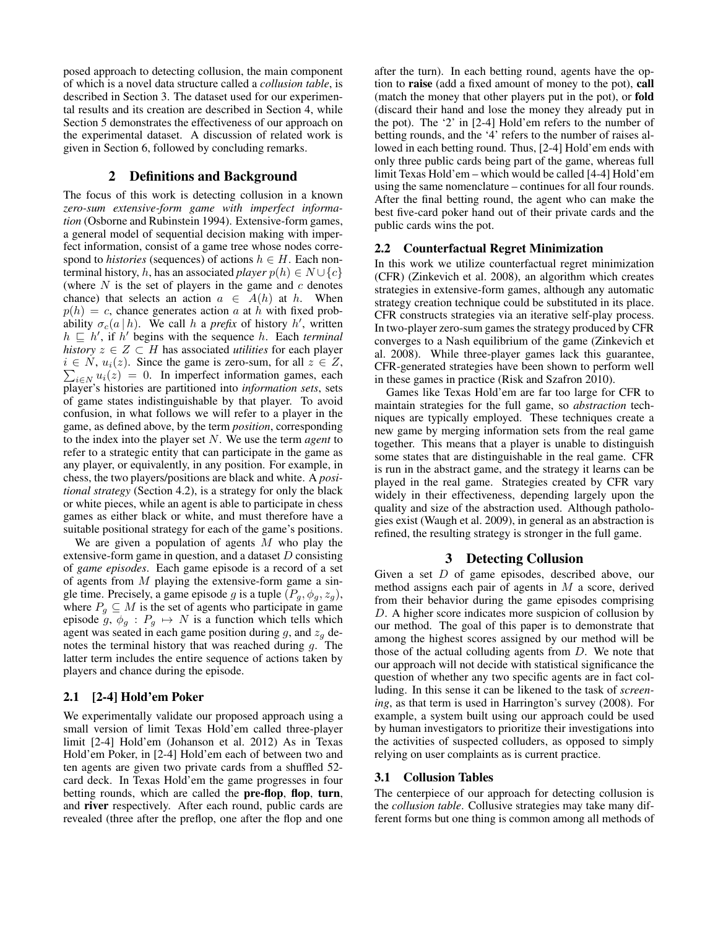posed approach to detecting collusion, the main component of which is a novel data structure called a *collusion table*, is described in Section 3. The dataset used for our experimental results and its creation are described in Section 4, while Section 5 demonstrates the effectiveness of our approach on the experimental dataset. A discussion of related work is given in Section 6, followed by concluding remarks.

# 2 Definitions and Background

The focus of this work is detecting collusion in a known *zero-sum extensive-form game with imperfect information* (Osborne and Rubinstein 1994). Extensive-form games, a general model of sequential decision making with imperfect information, consist of a game tree whose nodes correspond to *histories* (sequences) of actions  $h \in H$ . Each nonterminal history, h, has an associated *player*  $p(h) \in N \cup \{c\}$ (where  $N$  is the set of players in the game and  $c$  denotes chance) that selects an action  $a \in A(h)$  at h. When  $p(h) = c$ , chance generates action a at h with fixed probability  $\sigma_c(a|h)$ . We call h a *prefix* of history h', written  $h \sqsubseteq h'$ , if  $h'$  begins with the sequence h. Each *terminal history*  $z \in Z \subset H$  has associated *utilities* for each player  $i \in N$ ,  $u_i(z)$ . Since the game is zero-sum, for all  $z \in Z$ ,  $\sum_{i \in \mathbb{N}} u_i(z) = 0$ . In imperfect information games, each player's histories are partitioned into *information sets*, sets of game states indistinguishable by that player. To avoid confusion, in what follows we will refer to a player in the game, as defined above, by the term *position*, corresponding to the index into the player set N. We use the term *agent* to refer to a strategic entity that can participate in the game as any player, or equivalently, in any position. For example, in chess, the two players/positions are black and white. A *positional strategy* (Section 4.2), is a strategy for only the black or white pieces, while an agent is able to participate in chess games as either black or white, and must therefore have a suitable positional strategy for each of the game's positions.

We are given a population of agents  $M$  who play the extensive-form game in question, and a dataset  $D$  consisting of *game episodes*. Each game episode is a record of a set of agents from  $M$  playing the extensive-form game a single time. Precisely, a game episode g is a tuple  $(P_g, \phi_g, z_g)$ , where  $P_q \subseteq M$  is the set of agents who participate in game episode  $g, \phi_g : P_g \mapsto N$  is a function which tells which agent was seated in each game position during  $g$ , and  $z_g$  denotes the terminal history that was reached during  $q$ . The latter term includes the entire sequence of actions taken by players and chance during the episode.

### 2.1 [2-4] Hold'em Poker

We experimentally validate our proposed approach using a small version of limit Texas Hold'em called three-player limit [2-4] Hold'em (Johanson et al. 2012) As in Texas Hold'em Poker, in [2-4] Hold'em each of between two and ten agents are given two private cards from a shuffled 52 card deck. In Texas Hold'em the game progresses in four betting rounds, which are called the pre-flop, flop, turn, and river respectively. After each round, public cards are revealed (three after the preflop, one after the flop and one

after the turn). In each betting round, agents have the option to raise (add a fixed amount of money to the pot), call (match the money that other players put in the pot), or fold (discard their hand and lose the money they already put in the pot). The '2' in [2-4] Hold'em refers to the number of betting rounds, and the '4' refers to the number of raises allowed in each betting round. Thus, [2-4] Hold'em ends with only three public cards being part of the game, whereas full limit Texas Hold'em – which would be called [4-4] Hold'em using the same nomenclature – continues for all four rounds. After the final betting round, the agent who can make the best five-card poker hand out of their private cards and the public cards wins the pot.

### 2.2 Counterfactual Regret Minimization

In this work we utilize counterfactual regret minimization (CFR) (Zinkevich et al. 2008), an algorithm which creates strategies in extensive-form games, although any automatic strategy creation technique could be substituted in its place. CFR constructs strategies via an iterative self-play process. In two-player zero-sum games the strategy produced by CFR converges to a Nash equilibrium of the game (Zinkevich et al. 2008). While three-player games lack this guarantee, CFR-generated strategies have been shown to perform well in these games in practice (Risk and Szafron 2010).

Games like Texas Hold'em are far too large for CFR to maintain strategies for the full game, so *abstraction* techniques are typically employed. These techniques create a new game by merging information sets from the real game together. This means that a player is unable to distinguish some states that are distinguishable in the real game. CFR is run in the abstract game, and the strategy it learns can be played in the real game. Strategies created by CFR vary widely in their effectiveness, depending largely upon the quality and size of the abstraction used. Although pathologies exist (Waugh et al. 2009), in general as an abstraction is refined, the resulting strategy is stronger in the full game.

### 3 Detecting Collusion

Given a set D of game episodes, described above, our method assigns each pair of agents in M a score, derived from their behavior during the game episodes comprising D. A higher score indicates more suspicion of collusion by our method. The goal of this paper is to demonstrate that among the highest scores assigned by our method will be those of the actual colluding agents from  $D$ . We note that our approach will not decide with statistical significance the question of whether any two specific agents are in fact colluding. In this sense it can be likened to the task of *screening*, as that term is used in Harrington's survey (2008). For example, a system built using our approach could be used by human investigators to prioritize their investigations into the activities of suspected colluders, as opposed to simply relying on user complaints as is current practice.

#### 3.1 Collusion Tables

The centerpiece of our approach for detecting collusion is the *collusion table*. Collusive strategies may take many different forms but one thing is common among all methods of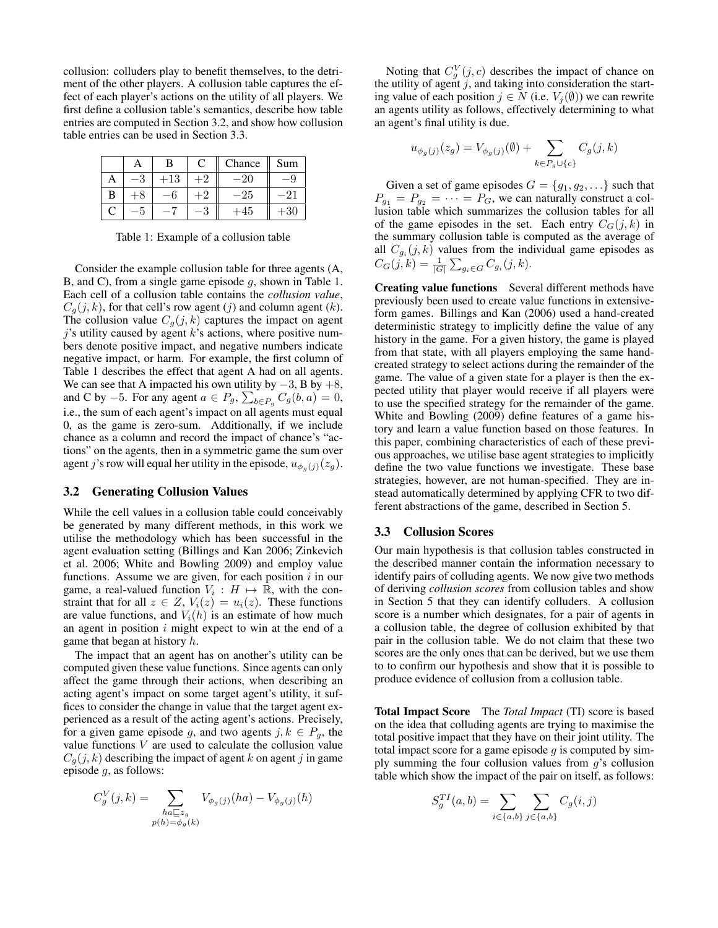collusion: colluders play to benefit themselves, to the detriment of the other players. A collusion table captures the effect of each player's actions on the utility of all players. We first define a collusion table's semantics, describe how table entries are computed in Section 3.2, and show how collusion table entries can be used in Section 3.3.

|   | A  | В  | C | Chance | Sum |
|---|----|----|---|--------|-----|
| ◠ | J. | 13 |   |        |     |
| В |    |    |   | 25     |     |
| C |    |    | U | 45     | 30  |

Table 1: Example of a collusion table

Consider the example collusion table for three agents (A, B, and C), from a single game episode g, shown in Table 1. Each cell of a collusion table contains the *collusion value*,  $C_q(j, k)$ , for that cell's row agent (j) and column agent (k). The collusion value  $C_g(j, k)$  captures the impact on agent  $j$ 's utility caused by agent  $k$ 's actions, where positive numbers denote positive impact, and negative numbers indicate negative impact, or harm. For example, the first column of Table 1 describes the effect that agent A had on all agents. We can see that A impacted his own utility by  $-3$ , B by  $+8$ , and C by -5. For any agent  $a \in P_g$ ,  $\sum_{b \in P_g} C_g(b, a) = 0$ , i.e., the sum of each agent's impact on all agents must equal 0, as the game is zero-sum. Additionally, if we include chance as a column and record the impact of chance's "actions" on the agents, then in a symmetric game the sum over agent j's row will equal her utility in the episode,  $u_{\phi_q(j)}(z_g)$ .

#### 3.2 Generating Collusion Values

While the cell values in a collusion table could conceivably be generated by many different methods, in this work we utilise the methodology which has been successful in the agent evaluation setting (Billings and Kan 2006; Zinkevich et al. 2006; White and Bowling 2009) and employ value functions. Assume we are given, for each position  $i$  in our game, a real-valued function  $V_i : H \mapsto \mathbb{R}$ , with the constraint that for all  $z \in Z$ ,  $V_i(z) = u_i(z)$ . These functions are value functions, and  $V_i(h)$  is an estimate of how much an agent in position  $i$  might expect to win at the end of a game that began at history  $h$ .

The impact that an agent has on another's utility can be computed given these value functions. Since agents can only affect the game through their actions, when describing an acting agent's impact on some target agent's utility, it suffices to consider the change in value that the target agent experienced as a result of the acting agent's actions. Precisely, for a given game episode g, and two agents  $j, k \in P_q$ , the value functions  $V$  are used to calculate the collusion value  $C_q(j, k)$  describing the impact of agent k on agent j in game episode g, as follows:

$$
C_g^V(j,k) = \sum_{\substack{ha \sqsubseteq z_g \\ p(h) = \phi_g(k)}} V_{\phi_g(j)}(ha) - V_{\phi_g(j)}(h)
$$

Noting that  $C_g^V(j, c)$  describes the impact of chance on the utility of agent  $j$ , and taking into consideration the starting value of each position  $j \in N$  (i.e.  $V_j(\emptyset)$ ) we can rewrite an agents utility as follows, effectively determining to what an agent's final utility is due.

$$
u_{\phi_g(j)}(z_g) = V_{\phi_g(j)}(\emptyset) + \sum_{k \in P_g \cup \{c\}} C_g(j,k)
$$

Given a set of game episodes  $G = \{g_1, g_2, \ldots\}$  such that  $P_{g_1} = P_{g_2} = \cdots = P_G$ , we can naturally construct a collusion table which summarizes the collusion tables for all of the game episodes in the set. Each entry  $C_G(j, k)$  in the summary collusion table is computed as the average of all  $C_{g_i}(j,k)$  values from the individual game episodes as  $C_G(j,k) = \frac{1}{|G|} \sum_{g_i \in G} C_{g_i}(j,k).$ 

Creating value functions Several different methods have previously been used to create value functions in extensiveform games. Billings and Kan (2006) used a hand-created deterministic strategy to implicitly define the value of any history in the game. For a given history, the game is played from that state, with all players employing the same handcreated strategy to select actions during the remainder of the game. The value of a given state for a player is then the expected utility that player would receive if all players were to use the specified strategy for the remainder of the game. White and Bowling (2009) define features of a game history and learn a value function based on those features. In this paper, combining characteristics of each of these previous approaches, we utilise base agent strategies to implicitly define the two value functions we investigate. These base strategies, however, are not human-specified. They are instead automatically determined by applying CFR to two different abstractions of the game, described in Section 5.

### 3.3 Collusion Scores

Our main hypothesis is that collusion tables constructed in the described manner contain the information necessary to identify pairs of colluding agents. We now give two methods of deriving *collusion scores* from collusion tables and show in Section 5 that they can identify colluders. A collusion score is a number which designates, for a pair of agents in a collusion table, the degree of collusion exhibited by that pair in the collusion table. We do not claim that these two scores are the only ones that can be derived, but we use them to to confirm our hypothesis and show that it is possible to produce evidence of collusion from a collusion table.

Total Impact Score The *Total Impact* (TI) score is based on the idea that colluding agents are trying to maximise the total positive impact that they have on their joint utility. The total impact score for a game episode  $q$  is computed by simply summing the four collusion values from  $g$ 's collusion table which show the impact of the pair on itself, as follows:

$$
S_g^{TI}(a,b) = \sum_{i \in \{a,b\}} \sum_{j \in \{a,b\}} C_g(i,j)
$$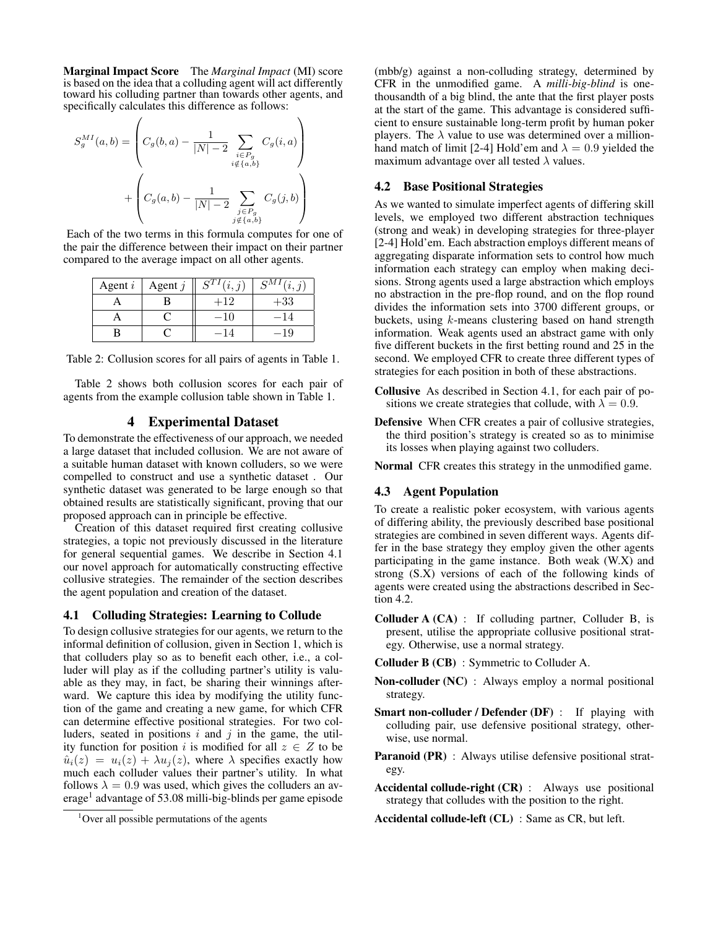Marginal Impact Score The *Marginal Impact* (MI) score is based on the idea that a colluding agent will act differently toward his colluding partner than towards other agents, and specifically calculates this difference as follows:

$$
S_g^{MI}(a,b) = \left(C_g(b,a) - \frac{1}{|N|-2} \sum_{\substack{i \in P_g \\ i \notin \{a,b\}}} C_g(i,a)\right) + \left(C_g(a,b) - \frac{1}{|N|-2} \sum_{\substack{j \in P_g \\ j \notin \{a,b\}}} C_g(j,b)\right)
$$

Each of the two terms in this formula computes for one of the pair the difference between their impact on their partner compared to the average impact on all other agents.

| Agent $i$ | Agent $j$ |       | $S_{M}$<br>(i, i) |
|-----------|-----------|-------|-------------------|
|           |           | $+12$ | $+33$             |
|           |           | -10   |                   |
|           |           |       |                   |

Table 2: Collusion scores for all pairs of agents in Table 1.

Table 2 shows both collusion scores for each pair of agents from the example collusion table shown in Table 1.

# 4 Experimental Dataset

To demonstrate the effectiveness of our approach, we needed a large dataset that included collusion. We are not aware of a suitable human dataset with known colluders, so we were compelled to construct and use a synthetic dataset . Our synthetic dataset was generated to be large enough so that obtained results are statistically significant, proving that our proposed approach can in principle be effective.

Creation of this dataset required first creating collusive strategies, a topic not previously discussed in the literature for general sequential games. We describe in Section 4.1 our novel approach for automatically constructing effective collusive strategies. The remainder of the section describes the agent population and creation of the dataset.

### 4.1 Colluding Strategies: Learning to Collude

To design collusive strategies for our agents, we return to the informal definition of collusion, given in Section 1, which is that colluders play so as to benefit each other, i.e., a colluder will play as if the colluding partner's utility is valuable as they may, in fact, be sharing their winnings afterward. We capture this idea by modifying the utility function of the game and creating a new game, for which CFR can determine effective positional strategies. For two colluders, seated in positions  $i$  and  $j$  in the game, the utility function for position i is modified for all  $z \in Z$  to be  $\hat{u}_i(z) = u_i(z) + \lambda u_i(z)$ , where  $\lambda$  specifies exactly how much each colluder values their partner's utility. In what follows  $\lambda = 0.9$  was used, which gives the colluders an average<sup>1</sup> advantage of 53.08 milli-big-blinds per game episode

(mbb/g) against a non-colluding strategy, determined by CFR in the unmodified game. A *milli-big-blind* is onethousandth of a big blind, the ante that the first player posts at the start of the game. This advantage is considered sufficient to ensure sustainable long-term profit by human poker players. The  $\lambda$  value to use was determined over a millionhand match of limit [2-4] Hold'em and  $\lambda = 0.9$  yielded the maximum advantage over all tested  $\lambda$  values.

# 4.2 Base Positional Strategies

As we wanted to simulate imperfect agents of differing skill levels, we employed two different abstraction techniques (strong and weak) in developing strategies for three-player [2-4] Hold'em. Each abstraction employs different means of aggregating disparate information sets to control how much information each strategy can employ when making decisions. Strong agents used a large abstraction which employs no abstraction in the pre-flop round, and on the flop round divides the information sets into 3700 different groups, or buckets, using  $k$ -means clustering based on hand strength information. Weak agents used an abstract game with only five different buckets in the first betting round and 25 in the second. We employed CFR to create three different types of strategies for each position in both of these abstractions.

- Collusive As described in Section 4.1, for each pair of positions we create strategies that collude, with  $\lambda = 0.9$ .
- Defensive When CFR creates a pair of collusive strategies, the third position's strategy is created so as to minimise its losses when playing against two colluders.

Normal CFR creates this strategy in the unmodified game.

### 4.3 Agent Population

To create a realistic poker ecosystem, with various agents of differing ability, the previously described base positional strategies are combined in seven different ways. Agents differ in the base strategy they employ given the other agents participating in the game instance. Both weak (W.X) and strong (S.X) versions of each of the following kinds of agents were created using the abstractions described in Section 4.2.

- Colluder A (CA) : If colluding partner, Colluder B, is present, utilise the appropriate collusive positional strategy. Otherwise, use a normal strategy.
- Colluder B (CB) : Symmetric to Colluder A.
- Non-colluder (NC) : Always employ a normal positional strategy.
- Smart non-colluder / Defender (DF) : If playing with colluding pair, use defensive positional strategy, otherwise, use normal.
- Paranoid (PR) : Always utilise defensive positional strategy.
- Accidental collude-right (CR) : Always use positional strategy that colludes with the position to the right.
- Accidental collude-left (CL) : Same as CR, but left.

 $1$ Over all possible permutations of the agents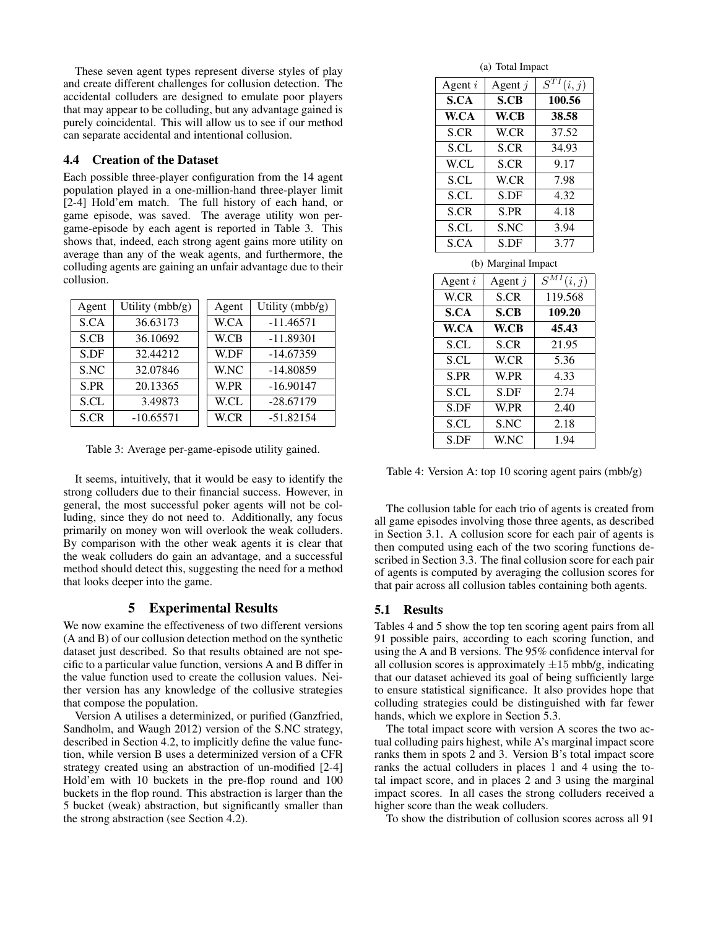These seven agent types represent diverse styles of play and create different challenges for collusion detection. The accidental colluders are designed to emulate poor players that may appear to be colluding, but any advantage gained is purely coincidental. This will allow us to see if our method can separate accidental and intentional collusion.

### 4.4 Creation of the Dataset

Each possible three-player configuration from the 14 agent population played in a one-million-hand three-player limit [2-4] Hold'em match. The full history of each hand, or game episode, was saved. The average utility won pergame-episode by each agent is reported in Table 3. This shows that, indeed, each strong agent gains more utility on average than any of the weak agents, and furthermore, the colluding agents are gaining an unfair advantage due to their collusion.

| Agent | Utility (mbb/g) | Agent | Utility (mbb/g) |
|-------|-----------------|-------|-----------------|
| S.CA  | 36.63173        | W.CA  | $-11.46571$     |
| S.CB  | 36.10692        | W.CB  | $-11.89301$     |
| S.DF  | 32.44212        | W.DF  | $-14.67359$     |
| S.NC  | 32.07846        | W.NC  | $-14.80859$     |
| S.PR  | 20.13365        | W.PR  | $-16.90147$     |
| S.CL  | 3.49873         | W.CL  | $-28.67179$     |
| S.CR  | $-10.65571$     | W.CR  | $-51.82154$     |

Table 3: Average per-game-episode utility gained.

It seems, intuitively, that it would be easy to identify the strong colluders due to their financial success. However, in general, the most successful poker agents will not be colluding, since they do not need to. Additionally, any focus primarily on money won will overlook the weak colluders. By comparison with the other weak agents it is clear that the weak colluders do gain an advantage, and a successful method should detect this, suggesting the need for a method that looks deeper into the game.

### 5 Experimental Results

We now examine the effectiveness of two different versions (A and B) of our collusion detection method on the synthetic dataset just described. So that results obtained are not specific to a particular value function, versions A and B differ in the value function used to create the collusion values. Neither version has any knowledge of the collusive strategies that compose the population.

Version A utilises a determinized, or purified (Ganzfried, Sandholm, and Waugh 2012) version of the S.NC strategy, described in Section 4.2, to implicitly define the value function, while version B uses a determinized version of a CFR strategy created using an abstraction of un-modified [2-4] Hold'em with 10 buckets in the pre-flop round and 100 buckets in the flop round. This abstraction is larger than the 5 bucket (weak) abstraction, but significantly smaller than the strong abstraction (see Section 4.2).

(a) Total Impact

| Agent $i$ | Agent $j$   | $S^{T1}$<br>(i,j) |
|-----------|-------------|-------------------|
| S.CA      | <b>S.CB</b> | 100.56            |
| W.CA      | W.CB        | 38.58             |
| S.CR      | W.CR        | 37.52             |
| S.CL      | S.CR        | 34.93             |
| W.CL      | S.CR        | 9.17              |
| S.CL      | W.CR        | 7.98              |
| S.CL      | S.DF        | 4.32              |
| S.CR      | S.PR        | 4.18              |
| S.CL      | S.NC        | 3.94              |
| S.CA      | S.DF        | 3.77              |
|           |             |                   |

(b) Marginal Impact

| Agent $i$   | Agent $j$   | $\overline{S^{MI}}(i,j)$ |
|-------------|-------------|--------------------------|
| W.CR        | S.CR        | 119.568                  |
| S.CA        | S.CB        | 109.20                   |
| W.CA        | W.CB        | 45.43                    |
| <b>S.CL</b> | S.CR        | 21.95                    |
| S.CL        | W.CR        | 5.36                     |
| S.PR        | W.PR        | 4.33                     |
| <b>S.CL</b> | S.DF        | 2.74                     |
| S.DF        | W.PR        | 2.40                     |
| S.CL        | S.NC        | 2.18                     |
| S.DF        | <b>W.NC</b> | 1.94                     |

Table 4: Version A: top 10 scoring agent pairs (mbb/g)

The collusion table for each trio of agents is created from all game episodes involving those three agents, as described in Section 3.1. A collusion score for each pair of agents is then computed using each of the two scoring functions described in Section 3.3. The final collusion score for each pair of agents is computed by averaging the collusion scores for that pair across all collusion tables containing both agents.

### 5.1 Results

Tables 4 and 5 show the top ten scoring agent pairs from all 91 possible pairs, according to each scoring function, and using the A and B versions. The 95% confidence interval for all collusion scores is approximately  $\pm 15$  mbb/g, indicating that our dataset achieved its goal of being sufficiently large to ensure statistical significance. It also provides hope that colluding strategies could be distinguished with far fewer hands, which we explore in Section 5.3.

The total impact score with version A scores the two actual colluding pairs highest, while A's marginal impact score ranks them in spots 2 and 3. Version B's total impact score ranks the actual colluders in places 1 and 4 using the total impact score, and in places 2 and 3 using the marginal impact scores. In all cases the strong colluders received a higher score than the weak colluders.

To show the distribution of collusion scores across all 91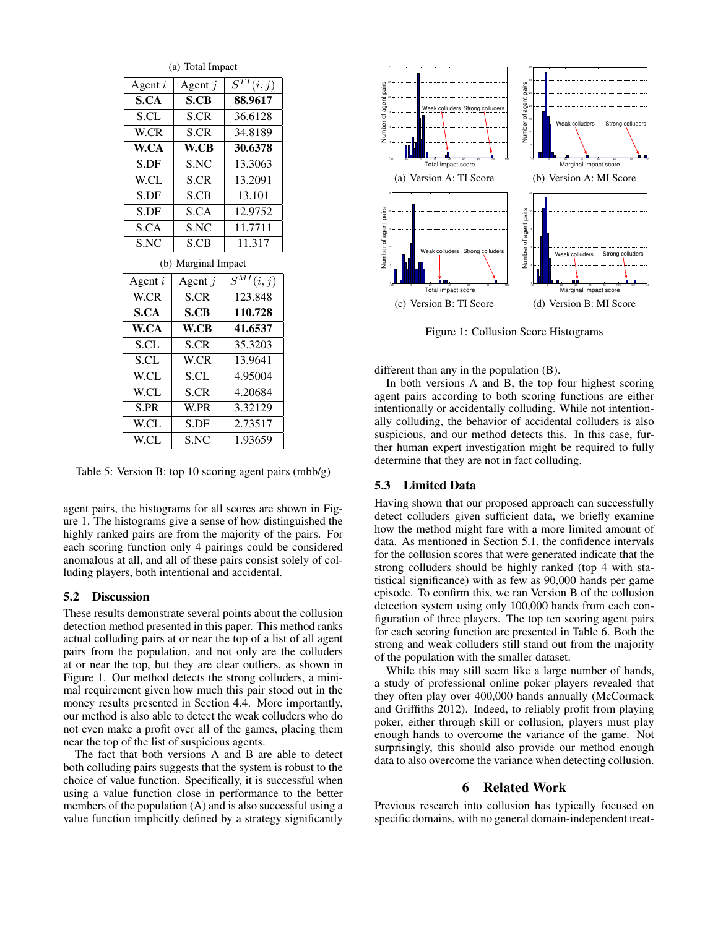| (a) Total Impact    |           |                          |  |  |
|---------------------|-----------|--------------------------|--|--|
| Agent $i$           | Agent $j$ | $\overline{S^{TI}(i,j)}$ |  |  |
| S.CA<br>S.CB        |           | 88.9617                  |  |  |
| S.CL                | S.CR      | 36.6128                  |  |  |
| W.CR                | S.CR      | 34.8189                  |  |  |
| W.CA                | W.CB      | 30.6378                  |  |  |
| S.DF                | S.NC      | 13.3063                  |  |  |
| W.CL<br>S.CR        |           | 13.2091                  |  |  |
| S.DF                | S.CB      | 13.101                   |  |  |
| S.DF                | S.CA      | 12.9752                  |  |  |
| S.CA                | S.NC      | 11.7711                  |  |  |
| S.NC                | S.CB      | 11.317                   |  |  |
| (b) Marginal Impact |           |                          |  |  |
| Agent $i$           | Agent $j$ | $\overline{S^{MI}(i,j)}$ |  |  |
| W.CR                | S.CR      | 123.848                  |  |  |
| S.CA                | S.CB      | 110.728                  |  |  |
| W.CA                | W.CB      | 41.6537                  |  |  |
| S.CL                | S.CR      | 35.3203                  |  |  |
| S.CL                | W.CR      | 13.9641                  |  |  |
| W.CL                | S.CL      | 4.95004                  |  |  |
| W.CL                | S.CR      | 4.20684                  |  |  |
| S.PR                | W.PR      | 3.32129                  |  |  |
| W.CL                | S.DF      | 2.73517                  |  |  |

Table 5: Version B: top 10 scoring agent pairs (mbb/g)

W.CL | S.NC | 1.93659

agent pairs, the histograms for all scores are shown in Figure 1. The histograms give a sense of how distinguished the highly ranked pairs are from the majority of the pairs. For each scoring function only 4 pairings could be considered anomalous at all, and all of these pairs consist solely of colluding players, both intentional and accidental.

#### 5.2 Discussion

These results demonstrate several points about the collusion detection method presented in this paper. This method ranks actual colluding pairs at or near the top of a list of all agent pairs from the population, and not only are the colluders at or near the top, but they are clear outliers, as shown in Figure 1. Our method detects the strong colluders, a minimal requirement given how much this pair stood out in the money results presented in Section 4.4. More importantly, our method is also able to detect the weak colluders who do not even make a profit over all of the games, placing them near the top of the list of suspicious agents.

The fact that both versions A and B are able to detect both colluding pairs suggests that the system is robust to the choice of value function. Specifically, it is successful when using a value function close in performance to the better members of the population (A) and is also successful using a value function implicitly defined by a strategy significantly



Figure 1: Collusion Score Histograms

different than any in the population (B).

In both versions A and B, the top four highest scoring agent pairs according to both scoring functions are either intentionally or accidentally colluding. While not intentionally colluding, the behavior of accidental colluders is also suspicious, and our method detects this. In this case, further human expert investigation might be required to fully determine that they are not in fact colluding.

### 5.3 Limited Data

Having shown that our proposed approach can successfully detect colluders given sufficient data, we briefly examine how the method might fare with a more limited amount of data. As mentioned in Section 5.1, the confidence intervals for the collusion scores that were generated indicate that the strong colluders should be highly ranked (top 4 with statistical significance) with as few as 90,000 hands per game episode. To confirm this, we ran Version B of the collusion detection system using only 100,000 hands from each configuration of three players. The top ten scoring agent pairs for each scoring function are presented in Table 6. Both the strong and weak colluders still stand out from the majority of the population with the smaller dataset.

While this may still seem like a large number of hands, a study of professional online poker players revealed that they often play over 400,000 hands annually (McCormack and Griffiths 2012). Indeed, to reliably profit from playing poker, either through skill or collusion, players must play enough hands to overcome the variance of the game. Not surprisingly, this should also provide our method enough data to also overcome the variance when detecting collusion.

# 6 Related Work

Previous research into collusion has typically focused on specific domains, with no general domain-independent treat-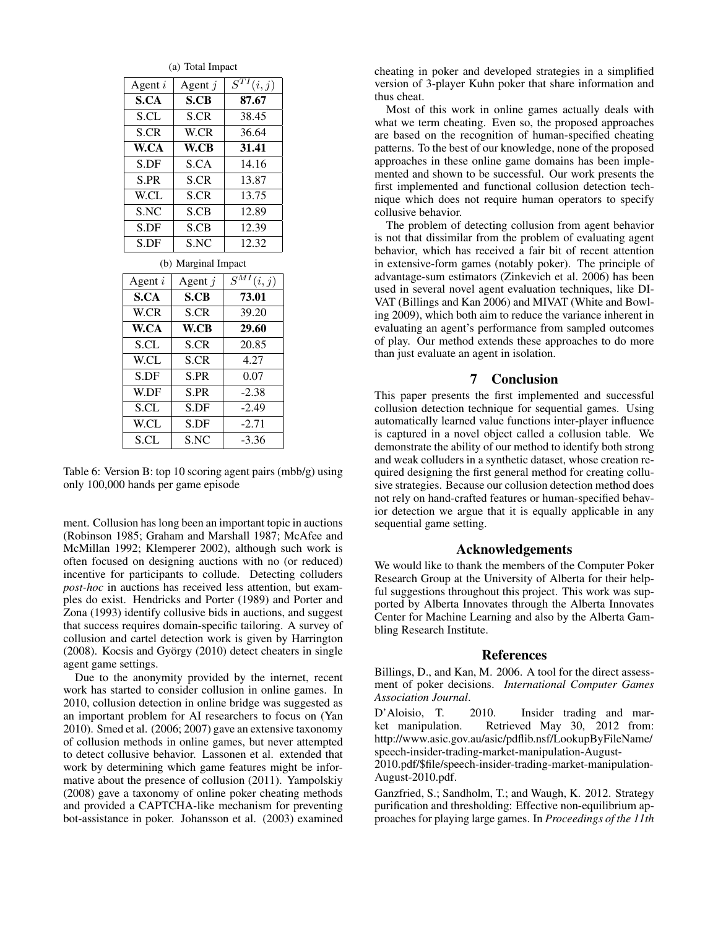| (a) Total Impact    |           |       |  |
|---------------------|-----------|-------|--|
| Agent $i$           | Agent $i$ |       |  |
| S.CA                | S.CB      | 87.67 |  |
| S.CL                | S.CR      | 38.45 |  |
| S.CR                | W.CR      | 36.64 |  |
| W.CA                | W.CB      | 31.41 |  |
| S.DF                | S.CA      | 14.16 |  |
| S.PR                | S.CR      | 13.87 |  |
| W.CL                | S.CR      | 13.75 |  |
| S.NC                | S.CB      | 12.89 |  |
| S.DF                | S.CB      | 12.39 |  |
| S.DF                | S.NC      | 12.32 |  |
| (b) Marginal Impact |           |       |  |

| Agent $i$   | Agent $j$ | $S^{MI}$<br>(i, j) |
|-------------|-----------|--------------------|
| S.CA        | S.CB      | 73.01              |
| W.CR        | S.CR      | 39.20              |
| W.CA        | W.CB      | 29.60              |
| S.CL        | S.CR      | 20.85              |
| W.CL        | S.CR      | 4.27               |
| S.DF        | S.PR      | 0.07               |
| <b>W.DF</b> | S.PR      | $-2.38$            |
| S.CL        | S.DF      | $-2.49$            |
| W.CL        | S.DF      | $-2.71$            |
| S.CL        | S.NC      | -3.36              |

Table 6: Version B: top 10 scoring agent pairs (mbb/g) using only 100,000 hands per game episode

ment. Collusion has long been an important topic in auctions (Robinson 1985; Graham and Marshall 1987; McAfee and McMillan 1992; Klemperer 2002), although such work is often focused on designing auctions with no (or reduced) incentive for participants to collude. Detecting colluders *post-hoc* in auctions has received less attention, but examples do exist. Hendricks and Porter (1989) and Porter and Zona (1993) identify collusive bids in auctions, and suggest that success requires domain-specific tailoring. A survey of collusion and cartel detection work is given by Harrington (2008). Kocsis and György (2010) detect cheaters in single agent game settings.

Due to the anonymity provided by the internet, recent work has started to consider collusion in online games. In 2010, collusion detection in online bridge was suggested as an important problem for AI researchers to focus on (Yan 2010). Smed et al. (2006; 2007) gave an extensive taxonomy of collusion methods in online games, but never attempted to detect collusive behavior. Lassonen et al. extended that work by determining which game features might be informative about the presence of collusion (2011). Yampolskiy (2008) gave a taxonomy of online poker cheating methods and provided a CAPTCHA-like mechanism for preventing bot-assistance in poker. Johansson et al. (2003) examined cheating in poker and developed strategies in a simplified version of 3-player Kuhn poker that share information and thus cheat.

Most of this work in online games actually deals with what we term cheating. Even so, the proposed approaches are based on the recognition of human-specified cheating patterns. To the best of our knowledge, none of the proposed approaches in these online game domains has been implemented and shown to be successful. Our work presents the first implemented and functional collusion detection technique which does not require human operators to specify collusive behavior.

The problem of detecting collusion from agent behavior is not that dissimilar from the problem of evaluating agent behavior, which has received a fair bit of recent attention in extensive-form games (notably poker). The principle of advantage-sum estimators (Zinkevich et al. 2006) has been used in several novel agent evaluation techniques, like DI-VAT (Billings and Kan 2006) and MIVAT (White and Bowling 2009), which both aim to reduce the variance inherent in evaluating an agent's performance from sampled outcomes of play. Our method extends these approaches to do more than just evaluate an agent in isolation.

### 7 Conclusion

This paper presents the first implemented and successful collusion detection technique for sequential games. Using automatically learned value functions inter-player influence is captured in a novel object called a collusion table. We demonstrate the ability of our method to identify both strong and weak colluders in a synthetic dataset, whose creation required designing the first general method for creating collusive strategies. Because our collusion detection method does not rely on hand-crafted features or human-specified behavior detection we argue that it is equally applicable in any sequential game setting.

### Acknowledgements

We would like to thank the members of the Computer Poker Research Group at the University of Alberta for their helpful suggestions throughout this project. This work was supported by Alberta Innovates through the Alberta Innovates Center for Machine Learning and also by the Alberta Gambling Research Institute.

### References

Billings, D., and Kan, M. 2006. A tool for the direct assessment of poker decisions. *International Computer Games Association Journal*.

D'Aloisio, T. 2010. Insider trading and market manipulation. Retrieved May 30, 2012 from: http://www.asic.gov.au/asic/pdflib.nsf/LookupByFileName/ speech-insider-trading-market-manipulation-August-

2010.pdf/\$file/speech-insider-trading-market-manipulation-August-2010.pdf.

Ganzfried, S.; Sandholm, T.; and Waugh, K. 2012. Strategy purification and thresholding: Effective non-equilibrium approaches for playing large games. In *Proceedings of the 11th*